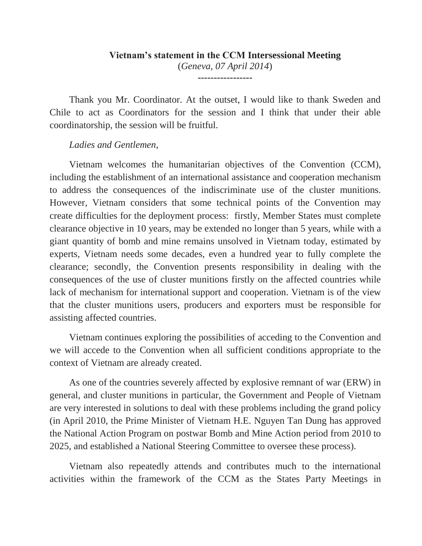## **Vietnam's statement in the CCM Intersessional Meeting** (*Geneva, 07 April 2014*) **-----------------**

Thank you Mr. Coordinator. At the outset, I would like to thank Sweden and Chile to act as Coordinators for the session and I think that under their able coordinatorship, the session will be fruitful.

## *Ladies and Gentlemen*,

Vietnam welcomes the humanitarian objectives of the Convention (CCM), including the establishment of an international assistance and cooperation mechanism to address the consequences of the indiscriminate use of the cluster munitions. However, Vietnam considers that some technical points of the Convention may create difficulties for the deployment process: firstly, Member States must complete clearance objective in 10 years, may be extended no longer than 5 years, while with a giant quantity of bomb and mine remains unsolved in Vietnam today, estimated by experts, Vietnam needs some decades, even a hundred year to fully complete the clearance; secondly, the Convention presents responsibility in dealing with the consequences of the use of cluster munitions firstly on the affected countries while lack of mechanism for international support and cooperation. Vietnam is of the view that the cluster munitions users, producers and exporters must be responsible for assisting affected countries.

Vietnam continues exploring the possibilities of acceding to the Convention and we will accede to the Convention when all sufficient conditions appropriate to the context of Vietnam are already created.

As one of the countries severely affected by explosive remnant of war (ERW) in general, and cluster munitions in particular, the Government and People of Vietnam are very interested in solutions to deal with these problems including the grand policy (in April 2010, the Prime Minister of Vietnam H.E. Nguyen Tan Dung has approved the National Action Program on postwar Bomb and Mine Action period from 2010 to 2025, and established a National Steering Committee to oversee these process).

Vietnam also repeatedly attends and contributes much to the international activities within the framework of the CCM as the States Party Meetings in